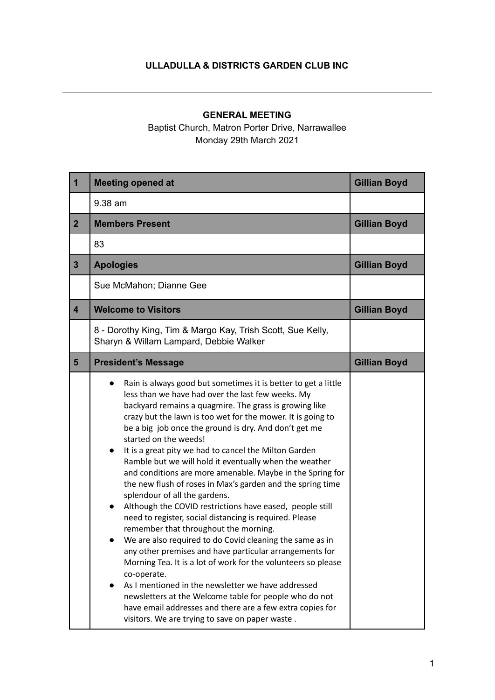## **ULLADULLA & DISTRICTS GARDEN CLUB INC**

## **GENERAL MEETING**

Baptist Church, Matron Porter Drive, Narrawallee Monday 29th March 2021

| $\mathbf 1$             | <b>Meeting opened at</b>                                                                                                                                                                                                                                                                                                                                                                                                                                                                                                                                                                                                                                                                                                                                                                                                                                                                                                                                                                                                                                                                                                                                                                                                                                                 | <b>Gillian Boyd</b> |
|-------------------------|--------------------------------------------------------------------------------------------------------------------------------------------------------------------------------------------------------------------------------------------------------------------------------------------------------------------------------------------------------------------------------------------------------------------------------------------------------------------------------------------------------------------------------------------------------------------------------------------------------------------------------------------------------------------------------------------------------------------------------------------------------------------------------------------------------------------------------------------------------------------------------------------------------------------------------------------------------------------------------------------------------------------------------------------------------------------------------------------------------------------------------------------------------------------------------------------------------------------------------------------------------------------------|---------------------|
|                         | 9.38 am                                                                                                                                                                                                                                                                                                                                                                                                                                                                                                                                                                                                                                                                                                                                                                                                                                                                                                                                                                                                                                                                                                                                                                                                                                                                  |                     |
| $\overline{2}$          | <b>Members Present</b>                                                                                                                                                                                                                                                                                                                                                                                                                                                                                                                                                                                                                                                                                                                                                                                                                                                                                                                                                                                                                                                                                                                                                                                                                                                   | <b>Gillian Boyd</b> |
|                         | 83                                                                                                                                                                                                                                                                                                                                                                                                                                                                                                                                                                                                                                                                                                                                                                                                                                                                                                                                                                                                                                                                                                                                                                                                                                                                       |                     |
| $\overline{3}$          | <b>Apologies</b>                                                                                                                                                                                                                                                                                                                                                                                                                                                                                                                                                                                                                                                                                                                                                                                                                                                                                                                                                                                                                                                                                                                                                                                                                                                         | <b>Gillian Boyd</b> |
|                         | Sue McMahon; Dianne Gee                                                                                                                                                                                                                                                                                                                                                                                                                                                                                                                                                                                                                                                                                                                                                                                                                                                                                                                                                                                                                                                                                                                                                                                                                                                  |                     |
| $\overline{\mathbf{4}}$ | <b>Welcome to Visitors</b>                                                                                                                                                                                                                                                                                                                                                                                                                                                                                                                                                                                                                                                                                                                                                                                                                                                                                                                                                                                                                                                                                                                                                                                                                                               | <b>Gillian Boyd</b> |
|                         | 8 - Dorothy King, Tim & Margo Kay, Trish Scott, Sue Kelly,<br>Sharyn & Willam Lampard, Debbie Walker                                                                                                                                                                                                                                                                                                                                                                                                                                                                                                                                                                                                                                                                                                                                                                                                                                                                                                                                                                                                                                                                                                                                                                     |                     |
| $5\phantom{1}$          | <b>President's Message</b>                                                                                                                                                                                                                                                                                                                                                                                                                                                                                                                                                                                                                                                                                                                                                                                                                                                                                                                                                                                                                                                                                                                                                                                                                                               | <b>Gillian Boyd</b> |
|                         | Rain is always good but sometimes it is better to get a little<br>less than we have had over the last few weeks. My<br>backyard remains a quagmire. The grass is growing like<br>crazy but the lawn is too wet for the mower. It is going to<br>be a big job once the ground is dry. And don't get me<br>started on the weeds!<br>It is a great pity we had to cancel the Milton Garden<br>$\bullet$<br>Ramble but we will hold it eventually when the weather<br>and conditions are more amenable. Maybe in the Spring for<br>the new flush of roses in Max's garden and the spring time<br>splendour of all the gardens.<br>Although the COVID restrictions have eased, people still<br>$\bullet$<br>need to register, social distancing is required. Please<br>remember that throughout the morning.<br>We are also required to do Covid cleaning the same as in<br>$\bullet$<br>any other premises and have particular arrangements for<br>Morning Tea. It is a lot of work for the volunteers so please<br>co-operate.<br>As I mentioned in the newsletter we have addressed<br>$\bullet$<br>newsletters at the Welcome table for people who do not<br>have email addresses and there are a few extra copies for<br>visitors. We are trying to save on paper waste. |                     |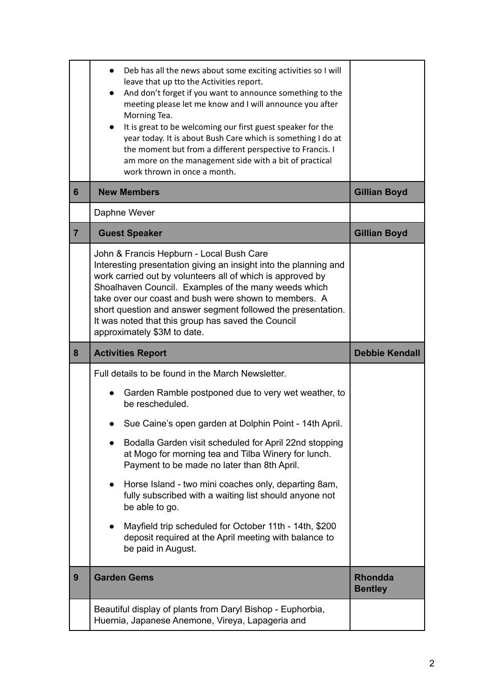|                | Deb has all the news about some exciting activities so I will<br>leave that up tto the Activities report.<br>And don't forget if you want to announce something to the<br>$\bullet$<br>meeting please let me know and I will announce you after<br>Morning Tea.<br>It is great to be welcoming our first guest speaker for the<br>year today. It is about Bush Care which is something I do at<br>the moment but from a different perspective to Francis. I<br>am more on the management side with a bit of practical<br>work thrown in once a month. |                                  |
|----------------|-------------------------------------------------------------------------------------------------------------------------------------------------------------------------------------------------------------------------------------------------------------------------------------------------------------------------------------------------------------------------------------------------------------------------------------------------------------------------------------------------------------------------------------------------------|----------------------------------|
| 6              | <b>New Members</b>                                                                                                                                                                                                                                                                                                                                                                                                                                                                                                                                    | <b>Gillian Boyd</b>              |
|                | Daphne Wever                                                                                                                                                                                                                                                                                                                                                                                                                                                                                                                                          |                                  |
| $\overline{7}$ | <b>Guest Speaker</b>                                                                                                                                                                                                                                                                                                                                                                                                                                                                                                                                  | <b>Gillian Boyd</b>              |
|                | John & Francis Hepburn - Local Bush Care<br>Interesting presentation giving an insight into the planning and<br>work carried out by volunteers all of which is approved by<br>Shoalhaven Council. Examples of the many weeds which<br>take over our coast and bush were shown to members. A<br>short question and answer segment followed the presentation.<br>It was noted that this group has saved the Council<br>approximately \$3M to date.                                                                                                      |                                  |
| 8              | <b>Activities Report</b>                                                                                                                                                                                                                                                                                                                                                                                                                                                                                                                              |                                  |
|                |                                                                                                                                                                                                                                                                                                                                                                                                                                                                                                                                                       | <b>Debbie Kendall</b>            |
|                | Full details to be found in the March Newsletter.                                                                                                                                                                                                                                                                                                                                                                                                                                                                                                     |                                  |
|                | Garden Ramble postponed due to very wet weather, to<br>be rescheduled.                                                                                                                                                                                                                                                                                                                                                                                                                                                                                |                                  |
|                | Sue Caine's open garden at Dolphin Point - 14th April.                                                                                                                                                                                                                                                                                                                                                                                                                                                                                                |                                  |
|                | Bodalla Garden visit scheduled for April 22nd stopping<br>at Mogo for morning tea and Tilba Winery for lunch.<br>Payment to be made no later than 8th April.                                                                                                                                                                                                                                                                                                                                                                                          |                                  |
|                | Horse Island - two mini coaches only, departing 8am,<br>fully subscribed with a waiting list should anyone not<br>be able to go.                                                                                                                                                                                                                                                                                                                                                                                                                      |                                  |
|                | Mayfield trip scheduled for October 11th - 14th, \$200<br>deposit required at the April meeting with balance to<br>be paid in August.                                                                                                                                                                                                                                                                                                                                                                                                                 |                                  |
| 9              | <b>Garden Gems</b>                                                                                                                                                                                                                                                                                                                                                                                                                                                                                                                                    | <b>Rhondda</b><br><b>Bentley</b> |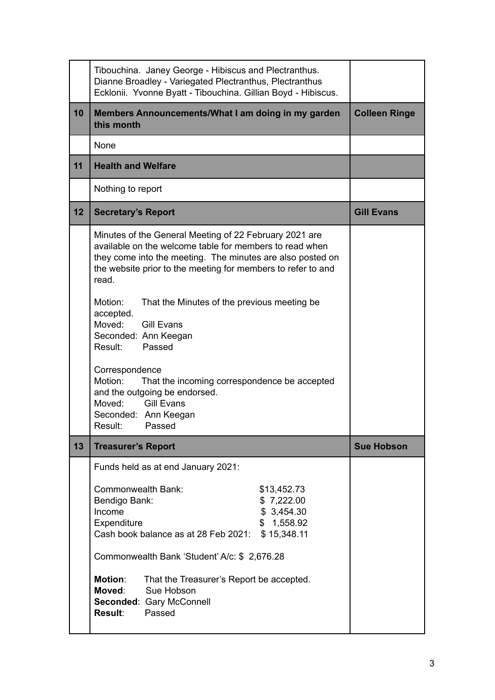|    | Tibouchina. Janey George - Hibiscus and Plectranthus.<br>Dianne Broadley - Variegated Plectranthus, Plectranthus<br>Ecklonii. Yvonne Byatt - Tibouchina. Gillian Boyd - Hibiscus.                                                                        |                      |
|----|----------------------------------------------------------------------------------------------------------------------------------------------------------------------------------------------------------------------------------------------------------|----------------------|
| 10 | Members Announcements/What I am doing in my garden<br>this month                                                                                                                                                                                         | <b>Colleen Ringe</b> |
|    | None                                                                                                                                                                                                                                                     |                      |
| 11 | <b>Health and Welfare</b>                                                                                                                                                                                                                                |                      |
|    | Nothing to report                                                                                                                                                                                                                                        |                      |
| 12 | <b>Secretary's Report</b>                                                                                                                                                                                                                                | <b>Gill Evans</b>    |
|    | Minutes of the General Meeting of 22 February 2021 are<br>available on the welcome table for members to read when<br>they come into the meeting. The minutes are also posted on<br>the website prior to the meeting for members to refer to and<br>read. |                      |
|    | Motion:<br>That the Minutes of the previous meeting be.<br>accepted.<br>Moved: Gill Evans<br>Seconded: Ann Keegan<br>Result: Passed                                                                                                                      |                      |
|    | Correspondence<br>Motion:<br>That the incoming correspondence be accepted<br>and the outgoing be endorsed.<br>Moved: Gill Evans<br>Seconded: Ann Keegan<br>Result:<br>Passed                                                                             |                      |
| 13 | <b>Treasurer's Report</b>                                                                                                                                                                                                                                | <b>Sue Hobson</b>    |
|    | Funds held as at end January 2021:                                                                                                                                                                                                                       |                      |
|    | Commonwealth Bank:<br>\$13,452.73<br>Bendigo Bank:<br>\$7,222.00<br>Income<br>\$3,454.30<br>Expenditure<br>\$1,558.92<br>Cash book balance as at 28 Feb 2021:<br>\$15,348.11                                                                             |                      |
|    | Commonwealth Bank 'Student' A/c: \$ 2,676.28                                                                                                                                                                                                             |                      |
|    | <b>Motion:</b><br>That the Treasurer's Report be accepted.<br>Moved:<br>Sue Hobson<br>Seconded: Gary McConnell<br>Result:<br>Passed                                                                                                                      |                      |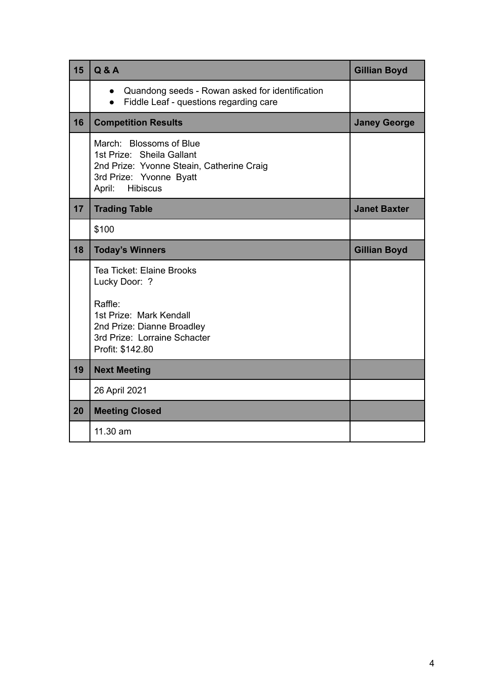| 15 | <b>Q&amp;A</b>                                                                                                                                            | <b>Gillian Boyd</b> |
|----|-----------------------------------------------------------------------------------------------------------------------------------------------------------|---------------------|
|    | Quandong seeds - Rowan asked for identification<br>$\bullet$<br>Fiddle Leaf - questions regarding care<br>$\bullet$                                       |                     |
| 16 | <b>Competition Results</b>                                                                                                                                | <b>Janey George</b> |
|    | March: Blossoms of Blue<br>1st Prize: Sheila Gallant<br>2nd Prize: Yvonne Steain, Catherine Craig<br>3rd Prize: Yvonne Byatt<br>April:<br><b>Hibiscus</b> |                     |
| 17 | <b>Trading Table</b>                                                                                                                                      | <b>Janet Baxter</b> |
|    | \$100                                                                                                                                                     |                     |
| 18 | <b>Today's Winners</b>                                                                                                                                    | <b>Gillian Boyd</b> |
|    | Tea Ticket: Elaine Brooks<br>Lucky Door: ?                                                                                                                |                     |
|    | Raffle:<br>1st Prize: Mark Kendall<br>2nd Prize: Dianne Broadley<br>3rd Prize: Lorraine Schacter<br>Profit: \$142.80                                      |                     |
| 19 | <b>Next Meeting</b>                                                                                                                                       |                     |
|    | 26 April 2021                                                                                                                                             |                     |
| 20 | <b>Meeting Closed</b>                                                                                                                                     |                     |
|    | 11.30 am                                                                                                                                                  |                     |